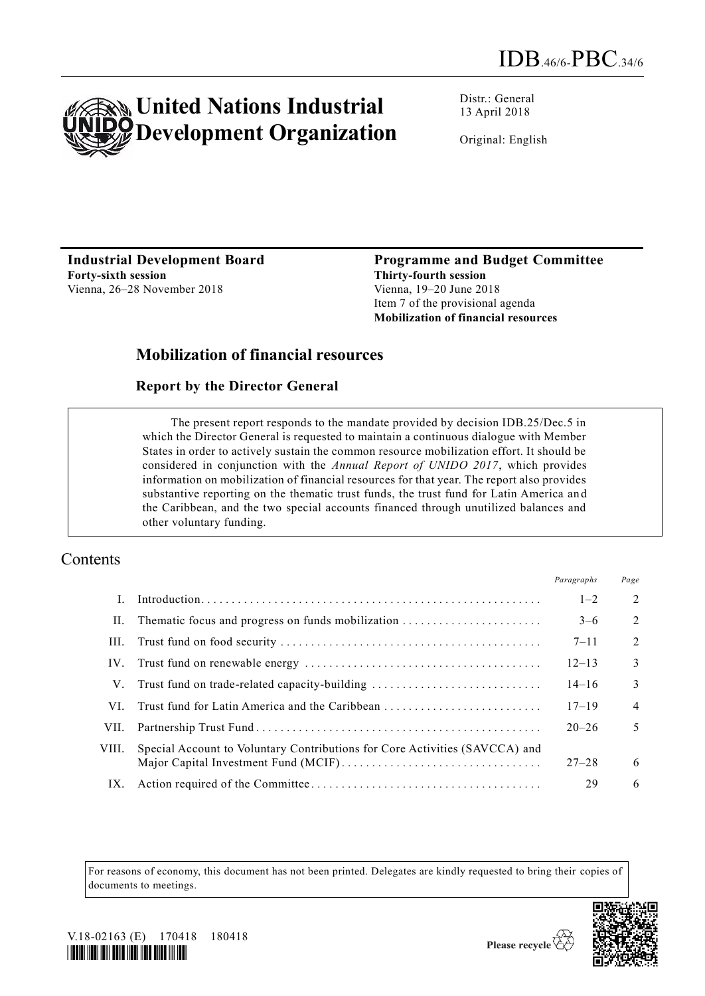

Distr.: General 13 April 2018

Original: English

**Industrial Development Board Forty-sixth session** Vienna, 26–28 November 2018

**Programme and Budget Committee Thirty-fourth session** Vienna, 19–20 June 2018 Item 7 of the provisional agenda **Mobilization of financial resources** 

## **Mobilization of financial resources**

#### **Report by the Director General**

The present report responds to the mandate provided by decision IDB.25/Dec.5 in which the Director General is requested to maintain a continuous dialogue with Member States in order to actively sustain the common resource mobilization effort. It should be considered in conjunction with the *Annual Report of UNIDO 2017*, which provides information on mobilization of financial resources for that year. The report also provides substantive reporting on the thematic trust funds, the trust fund for Latin America an d the Caribbean, and the two special accounts financed through unutilized balances and other voluntary funding.

## Contents

|       |                                                                             | Paragraphs | Page           |
|-------|-----------------------------------------------------------------------------|------------|----------------|
|       |                                                                             | $1 - 2$    | 2              |
| П.    | The matic focus and progress on funds mobilization                          | $3-6$      | 2              |
| Ш.    |                                                                             | $7 - 11$   | 2              |
| IV.   |                                                                             | $12 - 13$  | $\mathcal{E}$  |
| V.    | Trust fund on trade-related capacity-building                               | $14 - 16$  | $\mathcal{E}$  |
| VL.   | Trust fund for Latin America and the Caribbean                              | $17 - 19$  | $\overline{4}$ |
| VII.  |                                                                             | $20 - 26$  | 5              |
| VIII. | Special Account to Voluntary Contributions for Core Activities (SAVCCA) and |            |                |
|       |                                                                             | $27 - 28$  | 6              |
| IX.   |                                                                             | 29         | 6              |

For reasons of economy, this document has not been printed. Delegates are kindly requested to bring their copies of documents to meetings.



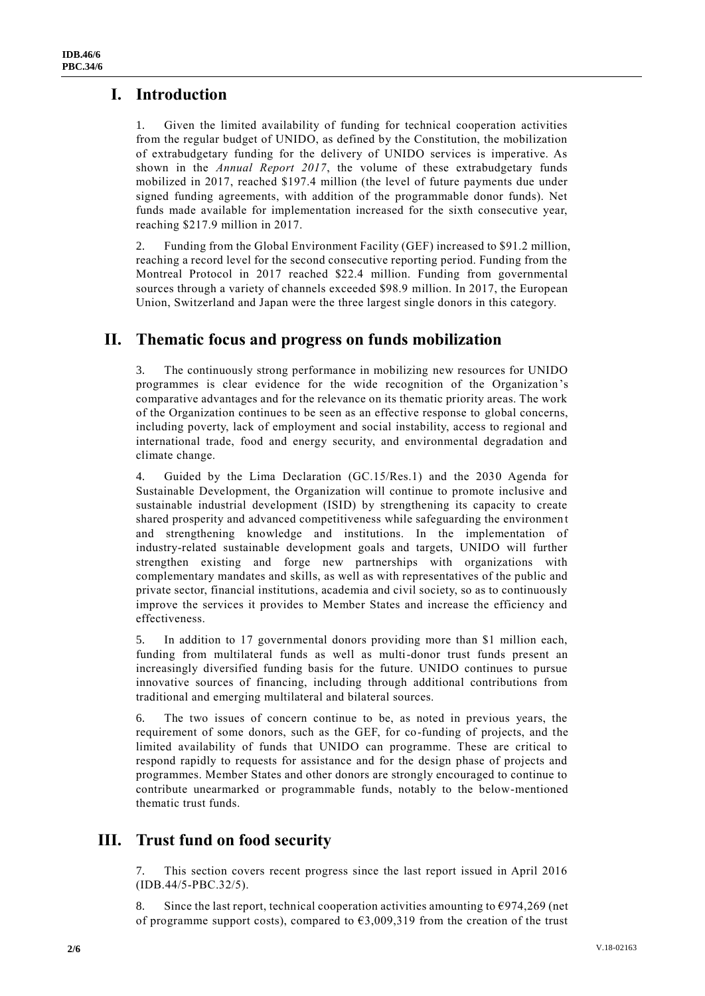## **I. Introduction**

1. Given the limited availability of funding for technical cooperation activities from the regular budget of UNIDO, as defined by the Constitution, the mobilization of extrabudgetary funding for the delivery of UNIDO services is imperative. As shown in the *Annual Report 2017*, the volume of these extrabudgetary funds mobilized in 2017, reached \$197.4 million (the level of future payments due under signed funding agreements, with addition of the programmable donor funds). Net funds made available for implementation increased for the sixth consecutive year, reaching \$217.9 million in 2017.

2. Funding from the Global Environment Facility (GEF) increased to \$91.2 million, reaching a record level for the second consecutive reporting period. Funding from the Montreal Protocol in 2017 reached \$22.4 million. Funding from governmental sources through a variety of channels exceeded \$98.9 million. In 2017, the European Union, Switzerland and Japan were the three largest single donors in this category.

### **II. Thematic focus and progress on funds mobilization**

3. The continuously strong performance in mobilizing new resources for UNIDO programmes is clear evidence for the wide recognition of the Organization's comparative advantages and for the relevance on its thematic priority areas. The work of the Organization continues to be seen as an effective response to global concerns, including poverty, lack of employment and social instability, access to regional and international trade, food and energy security, and environmental degradation and climate change.

4. Guided by the Lima Declaration (GC.15/Res.1) and the 2030 Agenda for Sustainable Development, the Organization will continue to promote inclusive and sustainable industrial development (ISID) by strengthening its capacity to create shared prosperity and advanced competitiveness while safeguarding the environmen t and strengthening knowledge and institutions. In the implementation of industry-related sustainable development goals and targets, UNIDO will further strengthen existing and forge new partnerships with organizations with complementary mandates and skills, as well as with representatives of the public and private sector, financial institutions, academia and civil society, so as to continuously improve the services it provides to Member States and increase the efficiency and effectiveness.

5. In addition to 17 governmental donors providing more than \$1 million each, funding from multilateral funds as well as multi-donor trust funds present an increasingly diversified funding basis for the future. UNIDO continues to pursue innovative sources of financing, including through additional contributions from traditional and emerging multilateral and bilateral sources.

6. The two issues of concern continue to be, as noted in previous years, the requirement of some donors, such as the GEF, for co-funding of projects, and the limited availability of funds that UNIDO can programme. These are critical to respond rapidly to requests for assistance and for the design phase of projects and programmes. Member States and other donors are strongly encouraged to continue to contribute unearmarked or programmable funds, notably to the below-mentioned thematic trust funds.

## **III. Trust fund on food security**

7. This section covers recent progress since the last report issued in April 2016 (IDB.44/5-PBC.32/5).

8. Since the last report, technical cooperation activities amounting to  $\epsilon$ 974,269 (net of programme support costs), compared to  $\epsilon$ 3,009,319 from the creation of the trust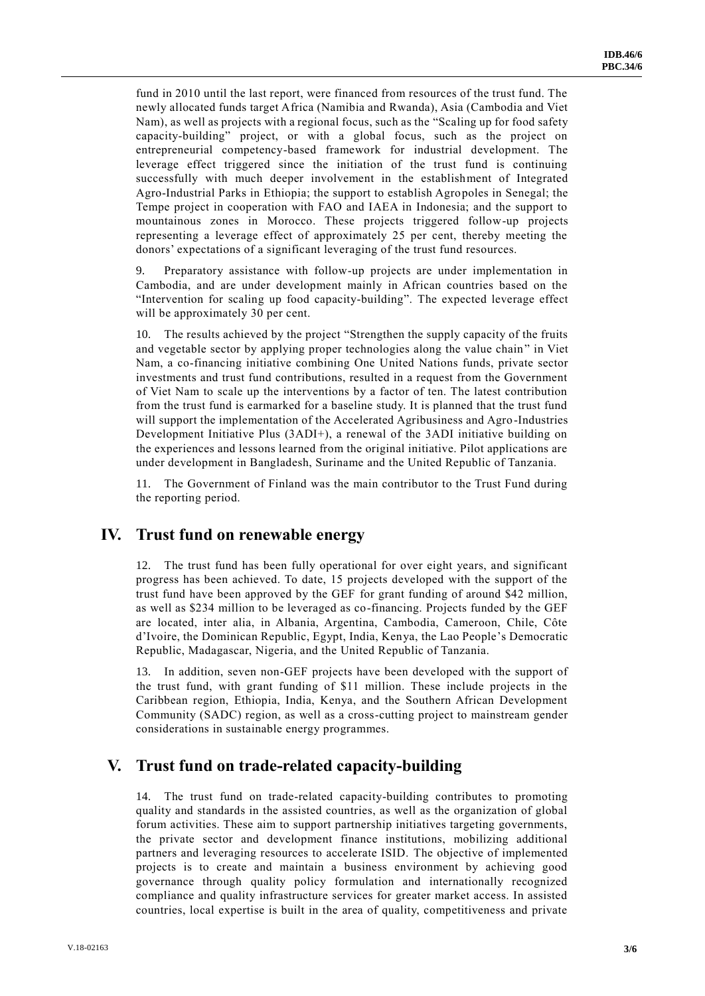fund in 2010 until the last report, were financed from resources of the trust fund. The newly allocated funds target Africa (Namibia and Rwanda), Asia (Cambodia and Viet Nam), as well as projects with a regional focus, such as the "Scaling up for food safety capacity-building" project, or with a global focus, such as the project on entrepreneurial competency-based framework for industrial development. The leverage effect triggered since the initiation of the trust fund is continuing successfully with much deeper involvement in the establishment of Integrated Agro-Industrial Parks in Ethiopia; the support to establish Agropoles in Senegal; the Tempe project in cooperation with FAO and IAEA in Indonesia; and the support to mountainous zones in Morocco. These projects triggered follow-up projects representing a leverage effect of approximately 25 per cent, thereby meeting the donors' expectations of a significant leveraging of the trust fund resources.

9. Preparatory assistance with follow-up projects are under implementation in Cambodia, and are under development mainly in African countries based on the "Intervention for scaling up food capacity-building". The expected leverage effect will be approximately 30 per cent.

10. The results achieved by the project "Strengthen the supply capacity of the fruits and vegetable sector by applying proper technologies along the value chain" in Viet Nam, a co-financing initiative combining One United Nations funds, private sector investments and trust fund contributions, resulted in a request from the Government of Viet Nam to scale up the interventions by a factor of ten. The latest contribution from the trust fund is earmarked for a baseline study. It is planned that the trust fund will support the implementation of the Accelerated Agribusiness and Agro-Industries Development Initiative Plus (3ADI+), a renewal of the 3ADI initiative building on the experiences and lessons learned from the original initiative. Pilot applications are under development in Bangladesh, Suriname and the United Republic of Tanzania.

11. The Government of Finland was the main contributor to the Trust Fund during the reporting period.

### **IV. Trust fund on renewable energy**

12. The trust fund has been fully operational for over eight years, and significant progress has been achieved. To date, 15 projects developed with the support of the trust fund have been approved by the GEF for grant funding of around \$42 million, as well as \$234 million to be leveraged as co-financing. Projects funded by the GEF are located, inter alia, in Albania, Argentina, Cambodia, Cameroon, Chile, Côte d'Ivoire, the Dominican Republic, Egypt, India, Kenya, the Lao People's Democratic Republic, Madagascar, Nigeria, and the United Republic of Tanzania.

13. In addition, seven non-GEF projects have been developed with the support of the trust fund, with grant funding of \$11 million. These include projects in the Caribbean region, Ethiopia, India, Kenya, and the Southern African Development Community (SADC) region, as well as a cross-cutting project to mainstream gender considerations in sustainable energy programmes.

## **V. Trust fund on trade-related capacity-building**

14. The trust fund on trade-related capacity-building contributes to promoting quality and standards in the assisted countries, as well as the organization of global forum activities. These aim to support partnership initiatives targeting governments, the private sector and development finance institutions, mobilizing additional partners and leveraging resources to accelerate ISID. The objective of implemented projects is to create and maintain a business environment by achieving good governance through quality policy formulation and internationally recognized compliance and quality infrastructure services for greater market access. In assisted countries, local expertise is built in the area of quality, competitiveness and private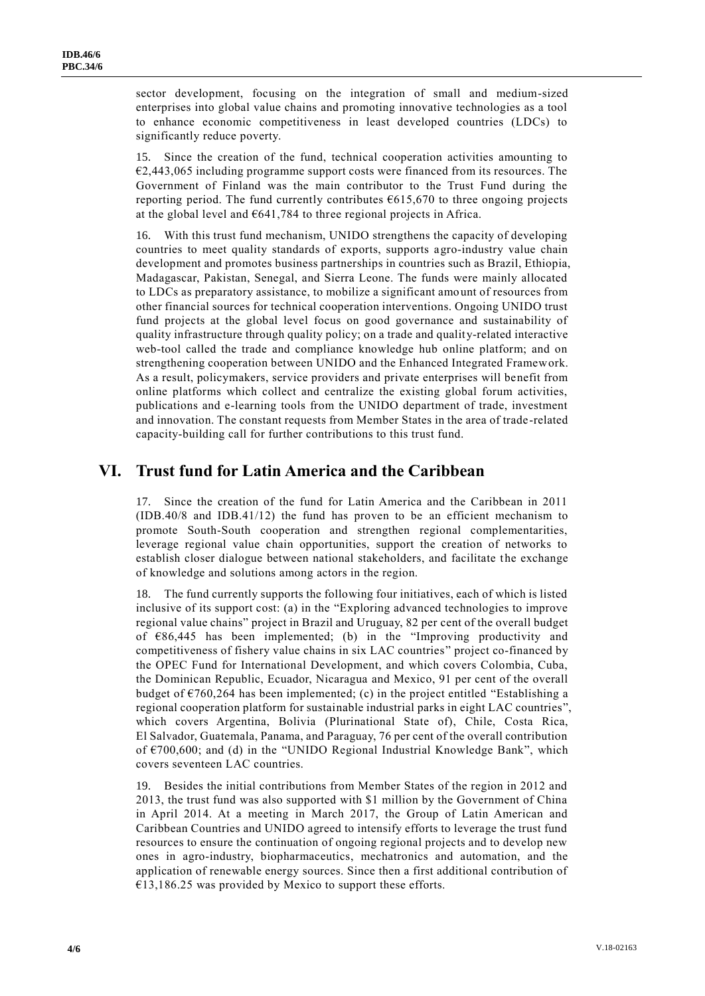sector development, focusing on the integration of small and medium-sized enterprises into global value chains and promoting innovative technologies as a tool to enhance economic competitiveness in least developed countries (LDCs) to significantly reduce poverty.

15. Since the creation of the fund, technical cooperation activities amounting to  $E2,443,065$  including programme support costs were financed from its resources. The Government of Finland was the main contributor to the Trust Fund during the reporting period. The fund currently contributes €615,670 to three ongoing projects at the global level and  $641,784$  to three regional projects in Africa.

16. With this trust fund mechanism, UNIDO strengthens the capacity of developing countries to meet quality standards of exports, supports agro-industry value chain development and promotes business partnerships in countries such as Brazil, Ethiopia, Madagascar, Pakistan, Senegal, and Sierra Leone. The funds were mainly allocated to LDCs as preparatory assistance, to mobilize a significant amount of resources from other financial sources for technical cooperation interventions. Ongoing UNIDO trust fund projects at the global level focus on good governance and sustainability of quality infrastructure through quality policy; on a trade and quality-related interactive web-tool called the trade and compliance knowledge hub online platform; and on strengthening cooperation between UNIDO and the Enhanced Integrated Framework. As a result, policymakers, service providers and private enterprises will benefit from online platforms which collect and centralize the existing global forum activities, publications and e-learning tools from the UNIDO department of trade, investment and innovation. The constant requests from Member States in the area of trade -related capacity-building call for further contributions to this trust fund.

### **VI. Trust fund for Latin America and the Caribbean**

17. Since the creation of the fund for Latin America and the Caribbean in 2011 (IDB.40/8 and IDB.41/12) the fund has proven to be an efficient mechanism to promote South-South cooperation and strengthen regional complementarities, leverage regional value chain opportunities, support the creation of networks to establish closer dialogue between national stakeholders, and facilitate the exchange of knowledge and solutions among actors in the region.

18. The fund currently supports the following four initiatives, each of which is listed inclusive of its support cost: (a) in the "Exploring advanced technologies to improve regional value chains" project in Brazil and Uruguay, 82 per cent of the overall budget of €86,445 has been implemented; (b) in the "Improving productivity and competitiveness of fishery value chains in six LAC countries" project co-financed by the OPEC Fund for International Development, and which covers Colombia, Cuba, the Dominican Republic, Ecuador, Nicaragua and Mexico, 91 per cent of the overall budget of  $\epsilon$ 760,264 has been implemented; (c) in the project entitled "Establishing a regional cooperation platform for sustainable industrial parks in eight LAC countries", which covers Argentina, Bolivia (Plurinational State of), Chile, Costa Rica, El Salvador, Guatemala, Panama, and Paraguay, 76 per cent of the overall contribution of  $\epsilon$ 700,600; and (d) in the "UNIDO Regional Industrial Knowledge Bank", which covers seventeen LAC countries.

19. Besides the initial contributions from Member States of the region in 2012 and 2013, the trust fund was also supported with \$1 million by the Government of China in April 2014. At a meeting in March 2017, the Group of Latin American and Caribbean Countries and UNIDO agreed to intensify efforts to leverage the trust fund resources to ensure the continuation of ongoing regional projects and to develop new ones in agro-industry, biopharmaceutics, mechatronics and automation, and the application of renewable energy sources. Since then a first additional contribution of  $€13,186.25$  was provided by Mexico to support these efforts.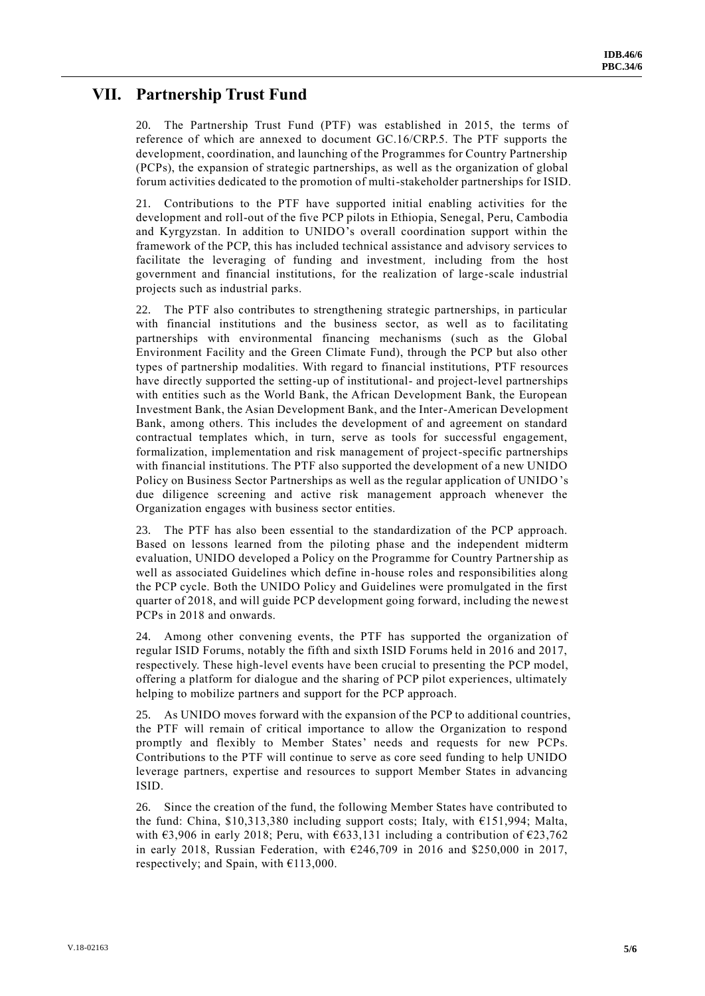## **VII. Partnership Trust Fund**

20. The Partnership Trust Fund (PTF) was established in 2015, the terms of reference of which are annexed to document GC.16/CRP.5. The PTF supports the development, coordination, and launching of the Programmes for Country Partnership (PCPs), the expansion of strategic partnerships, as well as the organization of global forum activities dedicated to the promotion of multi-stakeholder partnerships for ISID.

21. Contributions to the PTF have supported initial enabling activities for the development and roll-out of the five PCP pilots in Ethiopia, Senegal, Peru, Cambodia and Kyrgyzstan. In addition to UNIDO's overall coordination support within the framework of the PCP, this has included technical assistance and advisory services to facilitate the leveraging of funding and investment*,* including from the host government and financial institutions, for the realization of large -scale industrial projects such as industrial parks.

22. The PTF also contributes to strengthening strategic partnerships, in particular with financial institutions and the business sector, as well as to facilitating partnerships with environmental financing mechanisms (such as the Global Environment Facility and the Green Climate Fund), through the PCP but also other types of partnership modalities. With regard to financial institutions, PTF resources have directly supported the setting-up of institutional- and project-level partnerships with entities such as the World Bank, the African Development Bank, the European Investment Bank, the Asian Development Bank, and the Inter-American Development Bank, among others. This includes the development of and agreement on standard contractual templates which, in turn, serve as tools for successful engagement, formalization, implementation and risk management of project-specific partnerships with financial institutions. The PTF also supported the development of a new UNIDO Policy on Business Sector Partnerships as well as the regular application of UNIDO's due diligence screening and active risk management approach whenever the Organization engages with business sector entities.

23. The PTF has also been essential to the standardization of the PCP approach. Based on lessons learned from the piloting phase and the independent midterm evaluation, UNIDO developed a Policy on the Programme for Country Partnership as well as associated Guidelines which define in-house roles and responsibilities along the PCP cycle. Both the UNIDO Policy and Guidelines were promulgated in the first quarter of 2018, and will guide PCP development going forward, including the newe st PCPs in 2018 and onwards.

Among other convening events, the PTF has supported the organization of regular ISID Forums, notably the fifth and sixth ISID Forums held in 2016 and 2017, respectively. These high-level events have been crucial to presenting the PCP model, offering a platform for dialogue and the sharing of PCP pilot experiences, ultimately helping to mobilize partners and support for the PCP approach.

25. As UNIDO moves forward with the expansion of the PCP to additional countries, the PTF will remain of critical importance to allow the Organization to respond promptly and flexibly to Member States' needs and requests for new PCPs. Contributions to the PTF will continue to serve as core seed funding to help UNIDO leverage partners, expertise and resources to support Member States in advancing ISID.

26. Since the creation of the fund, the following Member States have contributed to the fund: China, \$10,313,380 including support costs; Italy, with €151,994; Malta, with  $\epsilon$ 3,906 in early 2018; Peru, with  $\epsilon$ 633,131 including a contribution of  $\epsilon$ 23,762 in early 2018, Russian Federation, with  $\epsilon$ 246,709 in 2016 and \$250,000 in 2017, respectively; and Spain, with  $£113,000$ .